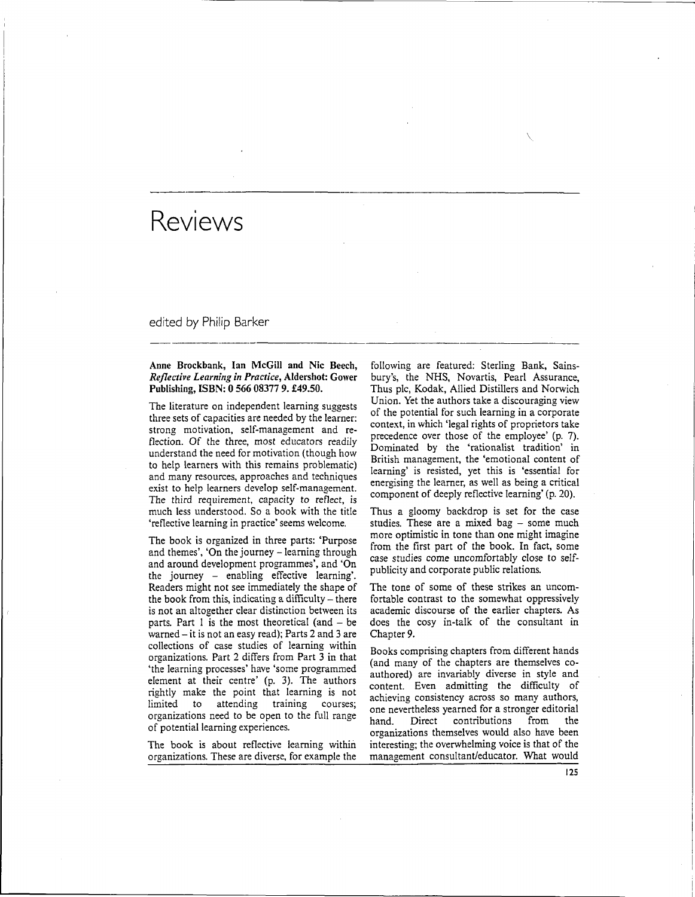edited by Philip Barker

# Anne Brockbank, Ian McGill and Nic Beech, *Reflective Learning in Practice,* Aldershot: Gower Publishing, ISBN: 0 566 08377 9. £49.50.

The literature on independent learning suggests three sets of capacities are needed by the learner: strong motivation, self-management and reflection. Of the three, most educators readily understand the need for motivation (though how to help learners with this remains problematic) and many resources, approaches and techniques exist to help learners develop self-management. The third requirement, capacity to reflect, is much less understood. So a book with the title 'reflective learning in practice' seems welcome.

The book is organized in three parts: 'Purpose and themes', 'On the journey - learning through and around development programmes', and 'On the journey - enabling effective learning'. Readers might not see immediately the shape of the book from this, indicating a difficulty – there is not an altogether clear distinction between its parts. Part 1 is the most theoretical (and  $-$  be warned  $-$  it is not an easy read); Parts 2 and 3 are collections of case studies of learning within organizations. Part 2 differs from Part 3 in that 'the learning processes' have 'some programmed element at their centre' (p. 3). The authors rightly make the point that learning is not limited to attending training courses; organizations need to be open to the full range of potential learning experiences.

The book is about reflective learning within organizations. These are diverse, for example the

following are featured: Sterling Bank, Sainsbury's, the NHS, Novartis, Pearl Assurance, Thus pic, Kodak, Allied Distillers and Norwich Union. Yet the authors take a discouraging view of the potential for such learning in a corporate context, in which 'legal rights of proprietors take precedence over those of the employee' (p. 7). Dominated by the 'rationalist tradition' in British management, the 'emotional content of learning' is resisted, yet this is 'essential for energising the learner, as well as being a critical component of deeply reflective learning' (p. 20).

Thus a gloomy backdrop is set for the case studies. These are a mixed bag - some much more optimistic in tone than one might imagine from the first part of the book. In fact, some case studies come uncomfortably close to selfpublicity and corporate public relations.

The tone of some of these strikes an uncomfortable contrast to the somewhat oppressively academic discourse of the earlier chapters. As does the cosy in-talk of the consultant in Chapter 9.

Books comprising chapters from different hands (and many of the chapters are themselves coauthored) are invariably diverse in style and content. Even admitting the difficulty of achieving consistency across so many authors, one nevertheless yearned for a stronger editorial hand. Direct contributions from the organizations themselves would also have been interesting; the overwhelming voice is that of the management consultant/educator. What would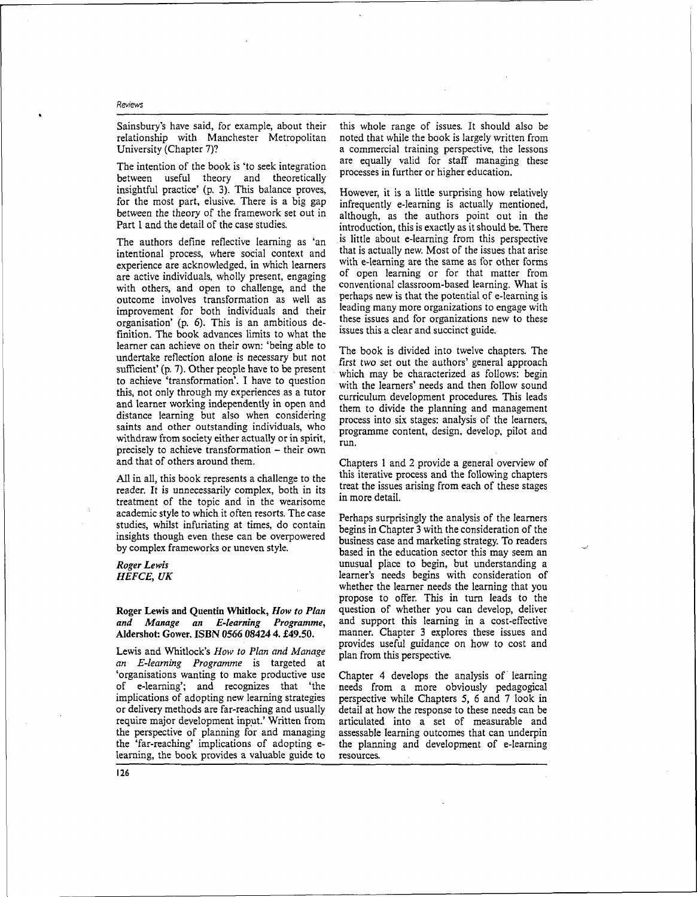Sainsbury's have said, for example, about their relationship with Manchester Metropolitan University (Chapter 7)?

The intention of the book is 'to seek integration between useful theory and theoretically insightful practice' (p. 3). This balance proves, for the most part, elusive. There is a big gap between the theory of the framework set out in Part 1 and the detail of the case studies.

The authors define reflective learning as 'an intentional process, where social context and experience are acknowledged, in which learners are active individuals, wholly present, engaging with others, and open to challenge, and the outcome involves transformation as well as improvement for both individuals and their organisation' (p. 6). This is an ambitious definition. The book advances limits to what the learner can achieve on their own: 'being able to undertake reflection alone is necessary but not sufficient' (p. 7). Other people have to be present to achieve 'transformation'. I have to question this, not only through my experiences as a tutor and learner working independently in open and distance learning but also when considering saints and other outstanding individuals, who withdraw from society either actually or in spirit, precisely to achieve transformation - their own and that of others around them.

All in all, this book represents a challenge to the reader. It is unnecessarily complex, both in its treatment of the topic and in the wearisome academic style to which it often resorts. The case studies, whilst infuriating at times, do contain insights though even these can be overpowered by complex frameworks or uneven style.

# *Roger Lewis HEFCE, UK*

### Roger Lewis and Quentin Whitlock, *How to Plan and Manage an E-learning Programme,* Aldershot: Gower. ISBN 0566 08424 4. £49.50.

Lewis and Whitlock's *How to Plan and Manage an E-learning Programme* is targeted at 'organisations wanting to make productive use of e-leaming'; and recognizes that 'the implications of adopting new learning strategies or delivery methods are far-reaching and usually require major development input.' Written from the perspective of planning for and managing the 'far-reaching' implications of adopting elearning, the book provides a valuable guide to

this whole range of issues. It should also be noted that while the book is largely written from a commercial training perspective, the lessons are equally valid for staff managing these processes in further or higher education.

However, it is a little surprising how relatively infrequently e-learning is actually mentioned, although, as the authors point out in the introduction, this is exactly as it should be. There is little about e-learning from this perspective that is actually new. Most of the issues that arise with e-learning are the same as for other forms of open learning or for that matter from conventional classroom-based learning. What is perhaps new is that the potential of e-learning is leading many more organizations to engage with these issues and for organizations new to these issues this a clear and succinct guide.

The book is divided into twelve chapters. The first two set out the authors' general approach which may be characterized as follows: begin with the learners' needs and then follow sound curriculum development procedures. This leads them to divide the planning and management process into six stages: analysis of the learners, programme content, design, develop, pilot and run.

Chapters 1 and 2 provide a general overview of this iterative process and the following chapters treat the issues arising from each of these stages in more detail.

Perhaps surprisingly the analysis of the learners begins in Chapter 3 with the consideration of the business case and marketing strategy. To readers based in the education sector this may seem an unusual place to begin, but understanding a learner's needs begins with consideration of whether the learner needs the learning that you propose to offer. This in turn leads to the question of whether you can develop, deliver and support this learning in a cost-effective manner. Chapter 3 explores these issues and provides useful guidance on how to cost and plan from this perspective.

Chapter 4 develops the analysis of learning needs from a more obviously pedagogical perspective while Chapters 5, 6 and 7 look in detail at how the response to these needs can be articulated into a set of measurable and assessable learning outcomes that can underpin the planning and development of e-learning resources.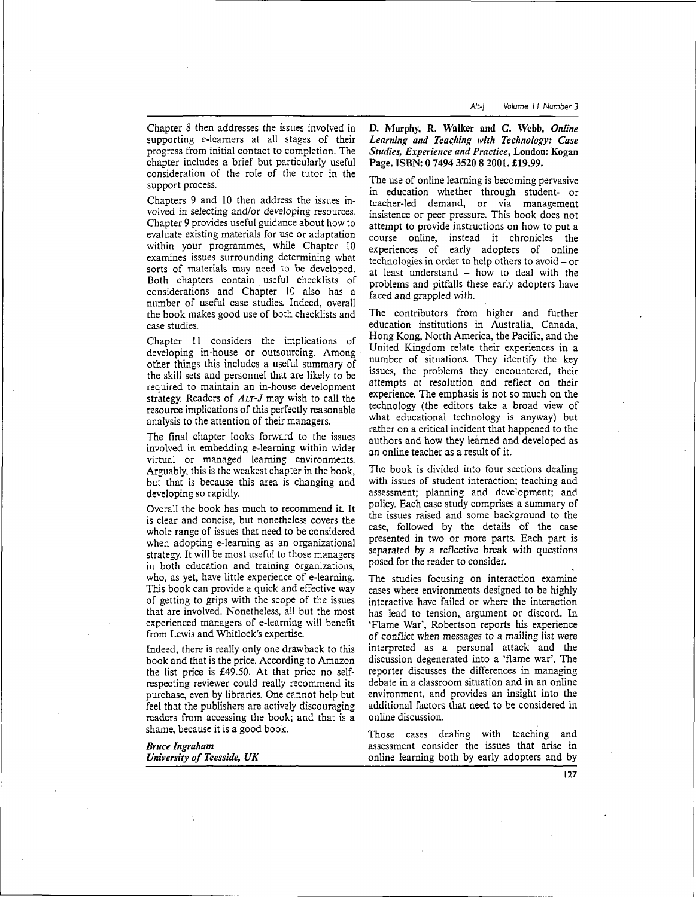Chapter 8 then addresses the issues involved in supporting e-learners at all stages of their progress from initial contact to completion. The chapter includes a brief but particularly useful consideration of the role of the tutor in the support process.

Chapters 9 and 10 then address the issues involved in selecting and/or developing resources. Chapter 9 provides useful guidance about how to evaluate existing materials for use or adaptation within your programmes, while Chapter 10 examines issues surrounding determining what sorts of materials may need to be developed. Both chapters contain useful checklists of considerations and Chapter 10 also has a number of useful case studies. Indeed, overall the book makes good use of both checklists and case studies.

Chapter 11 considers the implications of developing in-house or outsourcing. Among other things this includes a useful summary of the skill sets and personnel that are likely to be required to maintain an in-house development strategy. Readers of *ALT-J* may wish to call the resource implications of this perfectly reasonable analysis to the attention of their managers.

The final chapter looks forward to the issues involved in embedding e-learning within wider virtual or managed learning environments. Arguably, this is the weakest chapter in the book, but that is because this area is changing and developing so rapidly.

Overall the book has much to recommend it. It is clear and concise, but nonetheless covers the whole range of issues that need to be considered when adopting e-learaing as an organizational strategy. It will be most useful to those managers in both education and training organizations, who, as yet, have little experience of e-learning. This book can provide a quick and effective way of getting to grips with the scope of the issues that are involved. Nonetheless, all but the most experienced managers of e-learning will benefit from Lewis and Whitlock's expertise.

Indeed, there is really only one drawback to this book and that is the price. According to Amazon the list price is £49.50. At that price no selfrespecting reviewer could really recommend its purchase, even by libraries. One cannot help but feel that the publishers are actively discouraging readers from accessing the book; and that is a shame, because it is a good book.

| <b>Bruce Ingraham</b>      |  |
|----------------------------|--|
| University of Teesside, UK |  |

D. Murphy, R. Walker and G. Webb, *Online Learning and Teaching with Technology: Case Studies, Experience and Practice,* London: Kogan Page. ISBN: 0 7494 3520 8 2001. £19.99.

The use of online learning is becoming pervasive in education whether through student- or teacher-led demand, or via management insistence or peer pressure. This book does not attempt to provide instructions on how to put a course online, instead it chronicles the experiences of early adopters of online technologies in order to help others to avoid  $-\sigma r$ at least understand  $-$  how to deal with the problems and pitfalls these early adopters have faced and grappled with.

The contributors from higher and further education institutions in Australia, Canada, Hong Kong, North America, the Pacific, and the United Kingdom relate their experiences in a number of situations. They identify the key issues, the problems they encountered, their attempts at resolution and reflect on their experience. The emphasis is not so much on the technology (the editors take a broad view of what educational technology is anyway) but rather on a critical incident that happened to the authors and how they learned and developed as an online teacher as a result of it.

The book is divided into four sections dealing with issues of student interaction; teaching and assessment; planning and development; and policy. Each case study comprises a summary of the issues raised and some background to the case, followed by the details of the case presented in two or more parts. Each part is separated by a reflective break with questions posed for the reader to consider.

The studies focusing on interaction examine cases where environments designed to be highly interactive have failed or where the interaction has lead to tension, argument or discord. In 'Flame War', Robertson reports his experience of conflict when messages to a mailing list were interpreted as a personal attack and the discussion degenerated into a 'flame war'. The reporter discusses the differences in managing debate in a classroom situation and in an online environment, and provides an insight into the additional factors that need to be considered in online discussion.

Those cases dealing with teaching and assessment consider the issues that arise in online learning both by early adopters and by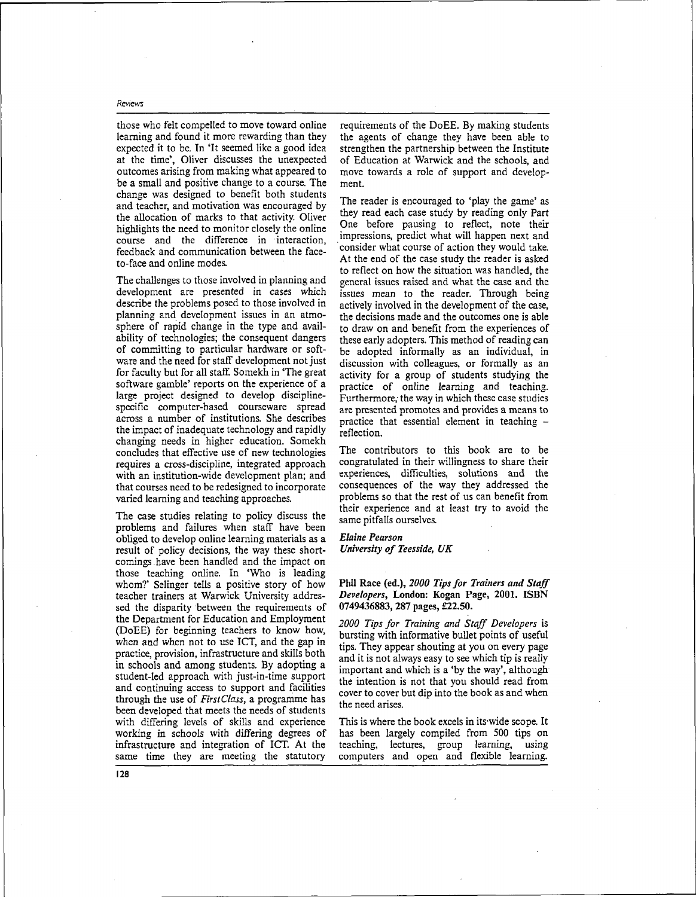those who felt compelled to move toward online learning and found it more rewarding than they expected it to be. In 'It seemed like a good idea at the time', Oliver discusses the unexpected outcomes arising from making what appeared to be a small and positive change to a course. The change was designed to benefit both students and teacher, and motivation was encouraged by the allocation of marks to that activity. Oliver highlights the need to monitor closely the online course and the difference in interaction, feedback and communication between the faceto-face and online modes.

The challenges to those involved in planning and development are presented in cases which describe the problems posed to those involved in planning and development issues in an atmosphere of rapid change in the type and availability of technologies; the consequent dangers of committing to particular hardware or software and the need for staff development not just for faculty but for all staff. Somekh in "The great software gamble' reports on the experience of a large project designed to develop disciplinespecific computer-based courseware spread across a number of institutions. She describes the impact of inadequate technology and rapidly changing needs in higher education. Somekh concludes that effective use of new technologies requires a cross-discipline, integrated approach with an institution-wide development plan; and that courses need to be redesigned to incorporate varied learning and teaching approaches.

The case studies relating to policy discuss the problems and failures when staff have been obliged to develop online learning materials as a result of policy decisions, the way these shortcomings, have been handled and the impact on those teaching online. In 'Who is leading whom?' Selinger tells a positive story of how teacher trainers at Warwick University addressed the disparity between the requirements of the Department for Education and Employment (DoEE) for beginning teachers to know how, when and when not to use ICT, and the gap in practice, provision, infrastructure and skills both in schools and among students. By adopting a student-led approach with just-in-time support and continuing access to support and facilities through the use of *First Class,* a programme has been developed that meets the needs of students with differing levels of skills and experience working in schools with differing degrees of infrastructure and integration of ICT. At the same time they are meeting the statutory

requirements of the DoEE. By making students the agents of change they have been able to strengthen the partnership between the Institute of Education at Warwick and the schools, and move towards a role of support and development.

The reader is encouraged to 'play the game' as they read each case study by reading only Part One before pausing to reflect, note their impressions, predict what will happen next and consider what course of action they would take. At the end of the case study the reader is asked to reflect on how the situation was handled, the general issues raised and what the case and the issues mean to the reader. Through being actively involved in the development of the case, the decisions made and the outcomes one is able to draw on and benefit from the experiences of these early adopters. This method of reading can be adopted informally as an individual, in discussion with colleagues, or formally as an activity for a group of students studying the practice of online learning and teaching. Furthermore, the way in which these case studies are presented promotes and provides a means to practice that essential element in teaching reflection.

The contributors to this book are to be congratulated in their willingness to share their experiences, difficulties, solutions and the consequences of the way they addressed the problems so that the rest of us can benefit from their experience and at least try to avoid the same pitfalls ourselves.

# *Elaine Pearson*

*University of Teesside, UK*

# Phil Race (ed.), *2000 Tips for Trainers and Staff Developers,* London: Kogan Page, 2001. ISBN 0749436883, 287 pages, £22.50.

*2000 Tips for Training and Staff Developers* is bursting with informative bullet points of useful tips. They appear shouting at you on every page and it is not always easy to see which tip is really important and which is a 'by the way', although the intention is not that you should read from cover to cover but dip into the book as and when the need arises.

This is where the book excels in its-wide scope. It has been largely compiled from 500 tips on teaching, lectures, group learning, using computers and open and flexible learning.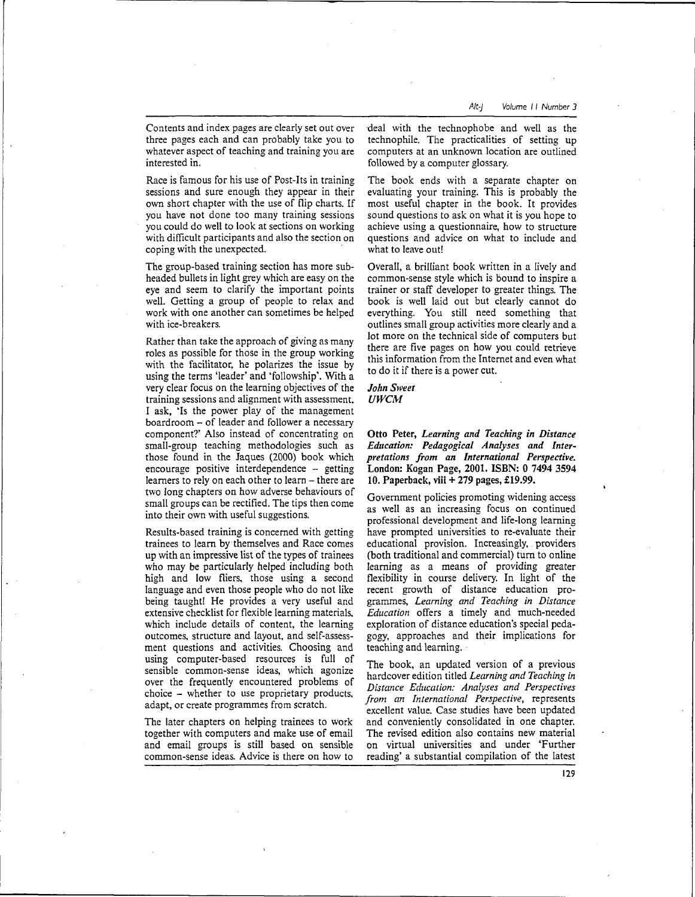Contents and index pages are clearly set out over three pages each and can probably take you to whatever aspect of teaching and training you are interested in.

Race is famous for his use of Post-Its in training sessions and sure enough they appear in their own short chapter with the use of flip charts. If you have not done too many training sessions you could do well to look at sections on working with difficult participants and also the section on coping with the unexpected.

The group-based training section has more subheaded bullets in light grey which are easy on the eye and seem to clarify the important points well. Getting a group of people to relax and work with one another can sometimes be helped with ice-breakers.

Rather than take the approach of giving as many roles as possible for those in the group working with the facilitator, he polarizes the issue by using the terms 'leader' and 'fellowship'. With a very clear focus on the learning objectives of the training sessions and alignment with assessment, I ask, 'Is the power play of the management boardroom - of leader and follower a necessary component?' Also instead of concentrating on small-group teaching methodologies such as those found in the Jaques (2000) book which encourage positive interdependence -- getting learners to rely on each other to learn - there are two long chapters on how adverse behaviours of small groups can be rectified. The tips then come into their own with useful suggestions.

Results-based training is concerned with getting trainees to learn by themselves and Race comes up with an impressive list of the types of trainees who may be particularly helped including both high and low fliers, those using a second language and even those people who do not like being taught! He provides a very useful and extensive checklist for flexible learning materials, which include details of content, the learning outcomes, structure and layout, and self-assessment questions and activities. Choosing and using computer-based resources is full of sensible common-sense ideas, which agonize over the frequently encountered problems of choice - whether to use proprietary products, adapt, or create programmes from scratch.

The later chapters on helping trainees to work together with computers and make use of email and email groups is still based on sensible common-sense ideas. Advice is there on how to

deal with the technophobe and well as the technophile. The practicalities of setting up computers at an unknown location are outlined followed by a computer glossary.

The book ends with a separate chapter on evaluating your training. This is probably the most useful chapter in the book. It provides sound questions to ask on what it is you hope to achieve using a questionnaire, how to structure questions and advice on what to include and what to leave out!

Overall, a brilliant book written in a lively and common-sense style which is bound to inspire a trainer or staff developer to greater things. The book is well laid out but clearly cannot do everything. You still need something that outlines small group activities more clearly and a lot more on the technical side of computers but there are five pages on how you could retrieve this information from the Internet and even what to do it if there is a power cut.

*John Sweet UWCM*

**Otto Peter,** *Learning and Teaching in Distance Education: Pedagogical Analyses and Interpretations from an International Perspective.* London: Kogan Page, **2001. ISBN: 0 7494** 3594 **10. Paperback, viii** + **279** pages, **£19.99.**

Government policies promoting widening access as well as an increasing focus on continued professional development and life-long learning have prompted universities to re-evaluate their educational provision. Increasingly, providers (both traditional and commercial) turn to online learning as a means of providing greater flexibility in course delivery. In light of the recent growth of distance education programmes, *Learning and Teaching in Distance Education* offers a timely and much-needed exploration of distance education's special pedagogy, approaches and their implications for teaching and learning.

The book, an updated version of a previous hardcover edition titled *Learning and Teaching in Distance Education: Analyses and Perspectives from an International Perspective,* represents excellent value. Case studies have been updated and conveniently consolidated in one chapter. The revised edition also contains new material on virtual universities and under 'Further reading' a substantial compilation of the latest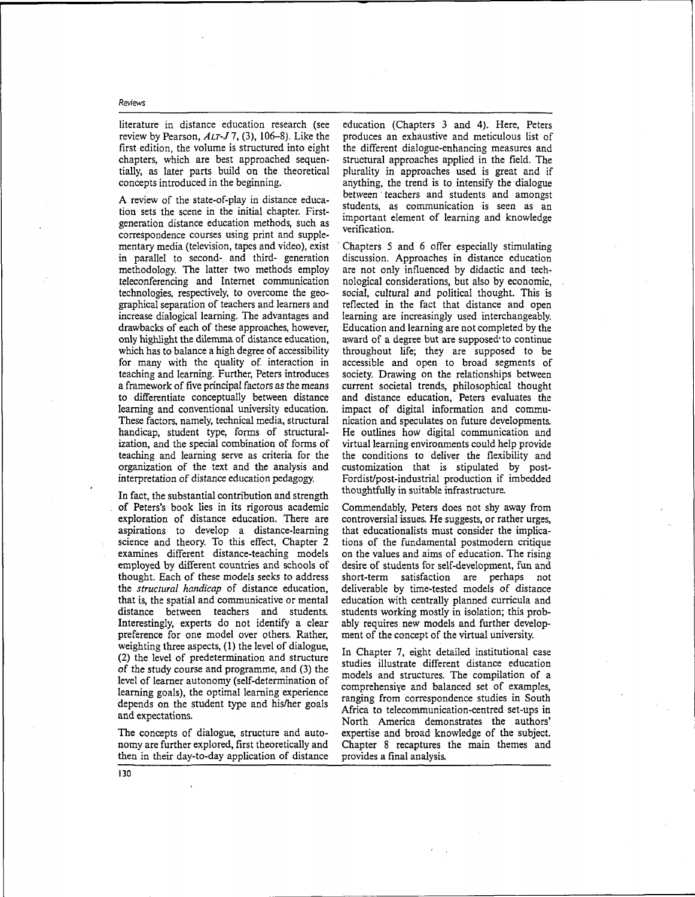literature in distance education research (see review by Pearson, *ALT-J1,* (3), 106-8). Like the first edition, the volume is structured into eight chapters, which are best approached sequentially, as later parts build on the theoretical concepts introduced in the beginning.

A review of the state-of-play in distance education sets the scene in the initial chapter. Firstgeneration distance education methods, such as correspondence courses using print and supplementary media (television, tapes and video), exist in parallel to second- and third- generation methodology. The latter two methods employ teleconferencing and Internet communication technologies, respectively, to overcome the geographical separation of teachers and learners and increase dialogical learning. The advantages and drawbacks of each of these approaches, however, only highlight the dilemma of distance education, which has to balance a high degree of accessibility for many with the quality of interaction in teaching and learning. Further, Peters introduces a framework of five principal factors as the means to differentiate conceptually between distance learning and conventional university education. These factors, namely, technical media, structural handicap, student type, forms of structuralization, and the special combination of forms of teaching and learning serve as criteria for the organization of the text and the analysis and interpretation of distance education pedagogy.

In fact, the substantial contribution and strength of Peters's book lies in its rigorous academic exploration of distance education. There are aspirations to develop a distance-learning science and theory. To this effect, Chapter 2 examines different distance-teaching models employed by different countries and schools of thought. Each of these models seeks to address the *structural handicap* of distance education, that is, the spatial and communicative or mental distance between teachers and students. Interestingly, experts do not identify a clear preference for one model over others. Rather, weighting three aspects, (1) the level of dialogue, (2) the level of predetermination and structure of the study course and programme, and (3) the level of learner autonomy (self-determination of learning goals), the optimal learning experience depends on the student type and his/her goals and expectations.

The concepts of dialogue, structure and autonomy are further explored, first theoretically and then in their day-to-day application of distance education (Chapters 3 and 4). Here, Peters produces an exhaustive and meticulous list of the different dialogue-enhancing measures and structural approaches applied in the field. The plurality in approaches used is great and if anything, the trend is to intensify the dialogue between teachers and students and amongst students, as communication is seen as an important element of learning and knowledge verification.

Chapters 5 and 6 offer especially stimulating discussion. Approaches in distance education are not only influenced by didactic and technological considerations, but also by economic, social, cultural and political thought. This is reflected in the fact that distance and open learning are increasingly used interchangeably. Education and learning are not completed by the award of a degree but are supposed to continue throughout life; they are supposed to be accessible and open to broad segments of society. Drawing on the relationships between current societal trends, philosophical thought and distance education, Peters evaluates the impact of digital information and communication and speculates on future developments. He outlines how digital communication and virtual learning environments could help provide the conditions to deliver the flexibility and customization that is stipulated by post-Fordist/post-industrial production if imbedded thoughtfully in suitable infrastructure.

Commendably, Peters does not shy away from controversial issues. He suggests, or rather urges, that educationalists must consider the implications of the fundamental postmodern critique on the values and aims of education. The rising desire of students for self-development, fun and short-term satisfaction are perhaps not deliverable by time-tested models of distance education with centrally planned curricula and students working mostly in isolation; this probably requires new models and further development of the concept of the virtual university.

In Chapter 7, eight detailed institutional case studies illustrate different distance education models and structures. The compilation of a comprehensive and balanced set of examples, ranging from correspondence studies in South Africa to telecommunication-centred set-ups in North America demonstrates the authors' expertise and broad knowledge of the subject. Chapter 8 recaptures the main themes and provides a final analysis.